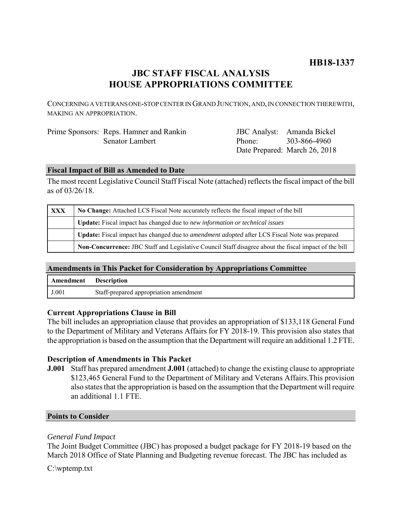# **HB18-1337**

## **JBC STAFF FISCAL ANALYSIS HOUSE APPROPRIATIONS COMMITTEE**

CONCERNING A VETERANS ONE-STOP CENTER IN GRAND JUNCTION, AND, IN CONNECTION THEREWITH, MAKING AN APPROPRIATION.

| Prime Sponsors: Reps. Hamner and Rankin |
|-----------------------------------------|
| Senator Lambert                         |

JBC Analyst: Amanda Bickel Phone: Date Prepared: March 26, 2018 303-866-4960

### **Fiscal Impact of Bill as Amended to Date**

The most recent Legislative Council Staff Fiscal Note (attached) reflects the fiscal impact of the bill as of 03/26/18.

| XXX | No Change: Attached LCS Fiscal Note accurately reflects the fiscal impact of the bill                        |  |
|-----|--------------------------------------------------------------------------------------------------------------|--|
|     | <b>Update:</b> Fiscal impact has changed due to new information or technical issues                          |  |
|     | Update: Fiscal impact has changed due to <i>amendment adopted</i> after LCS Fiscal Note was prepared         |  |
|     | <b>Non-Concurrence:</b> JBC Staff and Legislative Council Staff disagree about the fiscal impact of the bill |  |

### **Amendments in This Packet for Consideration by Appropriations Committee**

| Amendment | <b>Description</b>                     |
|-----------|----------------------------------------|
| J.001     | Staff-prepared appropriation amendment |

#### **Current Appropriations Clause in Bill**

The bill includes an appropriation clause that provides an appropriation of \$133,118 General Fund to the Department of Military and Veterans Affairs for FY 2018-19. This provision also states that the appropriation is based on the assumption that the Department will require an additional 1.2 FTE.

### **Description of Amendments in This Packet**

**J.001** Staff has prepared amendment **J.001** (attached) to change the existing clause to appropriate \$123,465 General Fund to the Department of Military and Veterans Affairs.This provision also states that the appropriation is based on the assumption that the Department will require an additional 1.1 FTE.

#### **Points to Consider**

#### *General Fund Impact*

The Joint Budget Committee (JBC) has proposed a budget package for FY 2018-19 based on the March 2018 Office of State Planning and Budgeting revenue forecast. The JBC has included as

C:\wptemp.txt